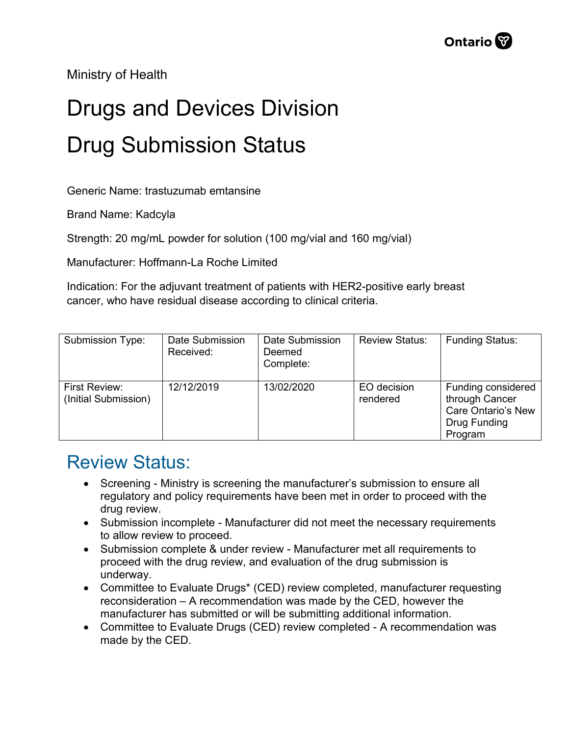Ministry of Health

## Drugs and Devices Division Drug Submission Status

Generic Name: trastuzumab emtansine

Brand Name: Kadcyla

Strength: 20 mg/mL powder for solution (100 mg/vial and 160 mg/vial)

Manufacturer: Hoffmann-La Roche Limited

Indication: For the adjuvant treatment of patients with HER2-positive early breast cancer, who have residual disease according to clinical criteria.

| Submission Type:                      | Date Submission<br>Received: | Date Submission<br>Deemed<br>Complete: | <b>Review Status:</b>   | <b>Funding Status:</b>                                                                       |
|---------------------------------------|------------------------------|----------------------------------------|-------------------------|----------------------------------------------------------------------------------------------|
| First Review:<br>(Initial Submission) | 12/12/2019                   | 13/02/2020                             | EO decision<br>rendered | Funding considered<br>through Cancer<br><b>Care Ontario's New</b><br>Drug Funding<br>Program |

## Review Status:

- Screening Ministry is screening the manufacturer's submission to ensure all regulatory and policy requirements have been met in order to proceed with the drug review.
- Submission incomplete Manufacturer did not meet the necessary requirements to allow review to proceed.
- Submission complete & under review Manufacturer met all requirements to proceed with the drug review, and evaluation of the drug submission is underway.
- Committee to Evaluate Drugs\* (CED) review completed, manufacturer requesting reconsideration – A recommendation was made by the CED, however the manufacturer has submitted or will be submitting additional information.
- Committee to Evaluate Drugs (CED) review completed A recommendation was made by the CED.